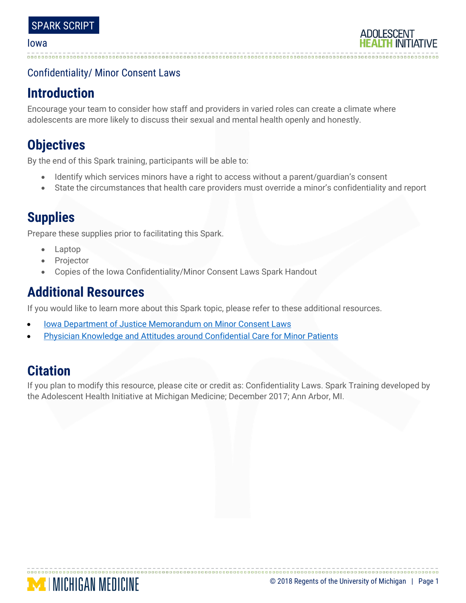#### Iowa

## Confidentiality/ Minor Consent Laws

# **Introduction**

Encourage your team to consider how staff and providers in varied roles can create a climate where adolescents are more likely to discuss their sexual and mental health openly and honestly.

# **Objectives**

By the end of this Spark training, participants will be able to:

- Identify which services minors have a right to access without a parent/guardian's consent
- State the circumstances that health care providers must override a minor's confidentiality and report

# **Supplies**

Prepare these supplies prior to facilitating this Spark.

- Laptop
- **Projector**
- Copies of the Iowa Confidentiality/Minor Consent Laws Spark Handout

# **Additional Resources**

If you would like to learn more about this Spark topic, please refer to these additional resources.

- [Iowa Department of Justice Memorandum on Minor Consent Laws](https://idph.iowa.gov/Portals/1/userfiles/110/Minor-Consent-Iowa-April-2015.pdf)
- [Physician Knowledge and Attitudes around Confidential Care for Minor Patients](http://www.sciencedirect.com/science/article/pii/S1083318814003064?via%3Dihub)

# **Citation**

If you plan to modify this resource, please cite or credit as: Confidentiality Laws. Spark Training developed by the Adolescent Health Initiative at Michigan Medicine; December 2017; Ann Arbor, MI.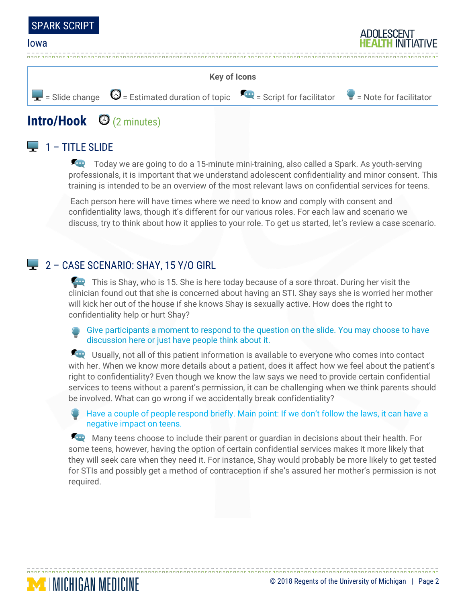

#### Iowa



# **Intro/Hook** (2 minutes)

## $\Box$  1 – TITLE SLIDE

**MENGAN MEDICINE** 

Today we are going to do a 15-minute mini-training, also called a Spark. As youth-serving professionals, it is important that we understand adolescent confidentiality and minor consent. This training is intended to be an overview of the most relevant laws on confidential services for teens.

Each person here will have times where we need to know and comply with consent and confidentiality laws, though it's different for our various roles. For each law and scenario we discuss, try to think about how it applies to your role. To get us started, let's review a case scenario.

### 2 - CASE SCENARIO: SHAY, 15 Y/O GIRL

This is Shay, who is 15. She is here today because of a sore throat. During her visit the clinician found out that she is concerned about having an STI. Shay says she is worried her mother will kick her out of the house if she knows Shay is sexually active. How does the right to confidentiality help or hurt Shay?

Give participants a moment to respond to the question on the slide. You may choose to have discussion here or just have people think about it.

**EXCO** Usually, not all of this patient information is available to everyone who comes into contact with her. When we know more details about a patient, does it affect how we feel about the patient's right to confidentiality? Even though we know the law says we need to provide certain confidential services to teens without a parent's permission, it can be challenging when we think parents should be involved. What can go wrong if we accidentally break confidentiality?

Have a couple of people respond briefly. Main point: If we don't follow the laws, it can have a negative impact on teens.

Many teens choose to include their parent or guardian in decisions about their health. For some teens, however, having the option of certain confidential services makes it more likely that they will seek care when they need it. For instance, Shay would probably be more likely to get tested for STIs and possibly get a method of contraception if she's assured her mother's permission is not required.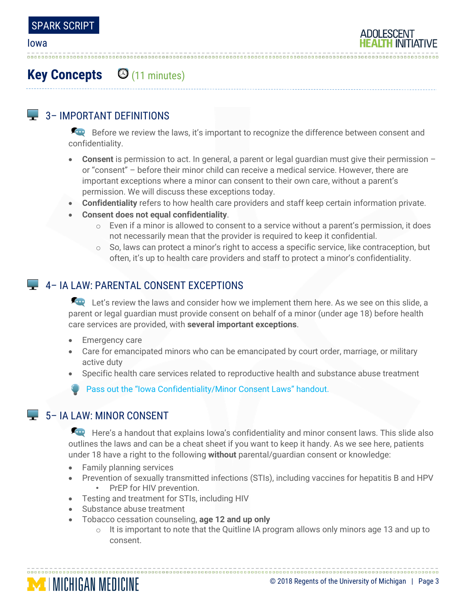

# **Key Concepts** (11 minutes)

# $\Box$  3– IMPORTANT DEFINITIONS

Before we review the laws, it's important to recognize the difference between consent and confidentiality.

- **Consent** is permission to act. In general, a parent or legal guardian must give their permission or "consent" – before their minor child can receive a medical service. However, there are important exceptions where a minor can consent to their own care, without a parent's permission. We will discuss these exceptions today.
- **Confidentiality** refers to how health care providers and staff keep certain information private.
- **Consent does not equal confidentiality**.
	- o Even if a minor is allowed to consent to a service without a parent's permission, it does not necessarily mean that the provider is required to keep it confidential.
	- o So, laws can protect a minor's right to access a specific service, like contraception, but often, it's up to health care providers and staff to protect a minor's confidentiality.

## 4 - IA LAW: PARENTAL CONSENT EXCEPTIONS

Let's review the laws and consider how we implement them here. As we see on this slide, a parent or legal guardian must provide consent on behalf of a minor (under age 18) before health care services are provided, with **several important exceptions**.

- Emergency care
- Care for emancipated minors who can be emancipated by court order, marriage, or military active duty
- Specific health care services related to reproductive health and substance abuse treatment

Pass out the "Iowa Confidentiality/Minor Consent Laws" handout.

## $\Box$  5– IA LAW: MINOR CONSENT

Here's a handout that explains Iowa's confidentiality and minor consent laws. This slide also outlines the laws and can be a cheat sheet if you want to keep it handy. As we see here, patients under 18 have a right to the following **without** parental/guardian consent or knowledge:

- Family planning services
- Prevention of sexually transmitted infections (STIs), including vaccines for hepatitis B and HPV • PrEP for HIV prevention.
- Testing and treatment for STIs, including HIV
- Substance abuse treatment
- Tobacco cessation counseling, **age 12 and up only**
	- $\circ$  It is important to note that the Quitline IA program allows only minors age 13 and up to consent.

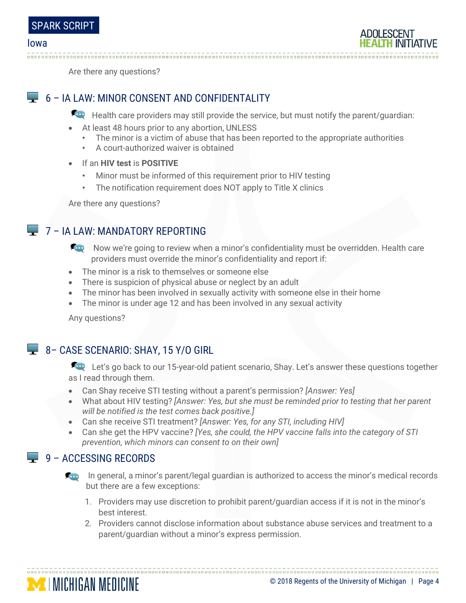

Are there any questions?

## 6 – IA LAW: MINOR CONSENT AND CONFIDENTALITY

Health care providers may still provide the service, but must notify the parent/guardian:

- At least 48 hours prior to any abortion, UNLESS
	- The minor is a victim of abuse that has been reported to the appropriate authorities
	- A court-authorized waiver is obtained
- If an **HIV test** is **POSITIVE**
	- Minor must be informed of this requirement prior to HIV testing
	- The notification requirement does NOT apply to Title X clinics

Are there any questions?

## **L** 7 – IA LAW: MANDATORY REPORTING

- Now we're going to review when a minor's confidentiality must be overridden. Health care providers must override the minor's confidentiality and report if:
- The minor is a risk to themselves or someone else
- There is suspicion of physical abuse or neglect by an adult
- The minor has been involved in sexually activity with someone else in their home
- The minor is under age 12 and has been involved in any sexual activity

Any questions?

## 8 - CASE SCENARIO: SHAY, 15 Y/O GIRL

Let's go back to our 15-year-old patient scenario, Shay. Let's answer these questions together as I read through them.

- Can Shay receive STI testing without a parent's permission? *[Answer: Yes]*
- What about HIV testing? *[Answer: Yes, but she must be reminded prior to testing that her parent will be notified is the test comes back positive.]*
- Can she receive STI treatment? *[Answer: Yes, for any STI, including HIV]*
- Can she get the HPV vaccine? *[Yes, she could, the HPV vaccine falls into the category of STI prevention, which minors can consent to on their own]*

### $\Box$  9 – ACCESSING RECORDS

**MICHIGAN MEDICINE** 

- **In general, a minor's parent/legal guardian is authorized to access the minor's medical records** but there are a few exceptions:
	- 1. Providers may use discretion to prohibit parent/guardian access if it is not in the minor's best interest.
	- 2. Providers cannot disclose information about substance abuse services and treatment to a parent/guardian without a minor's express permission.